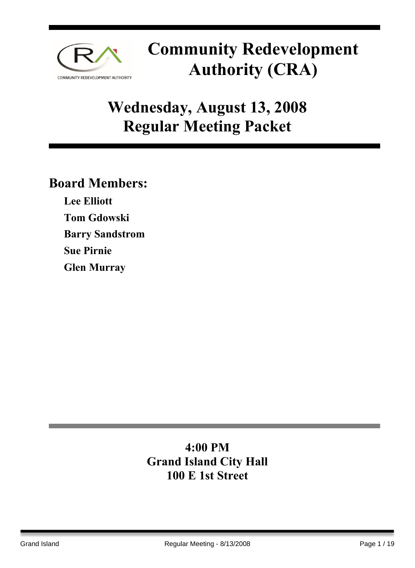

## **Wednesday, August 13, 2008 Regular Meeting Packet**

### **Board Members:**

**Lee Elliott Tom Gdowski Barry Sandstrom Sue Pirnie Glen Murray** 

### **4:00 PM Grand Island City Hall 100 E 1st Street**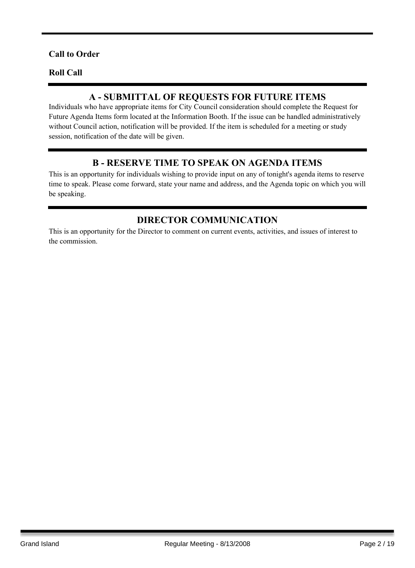#### **Call to Order**

#### **Roll Call**

#### **A - SUBMITTAL OF REQUESTS FOR FUTURE ITEMS**

Individuals who have appropriate items for City Council consideration should complete the Request for Future Agenda Items form located at the Information Booth. If the issue can be handled administratively without Council action, notification will be provided. If the item is scheduled for a meeting or study session, notification of the date will be given.

#### **B - RESERVE TIME TO SPEAK ON AGENDA ITEMS**

This is an opportunity for individuals wishing to provide input on any of tonight's agenda items to reserve time to speak. Please come forward, state your name and address, and the Agenda topic on which you will be speaking.

#### **DIRECTOR COMMUNICATION**

This is an opportunity for the Director to comment on current events, activities, and issues of interest to the commission.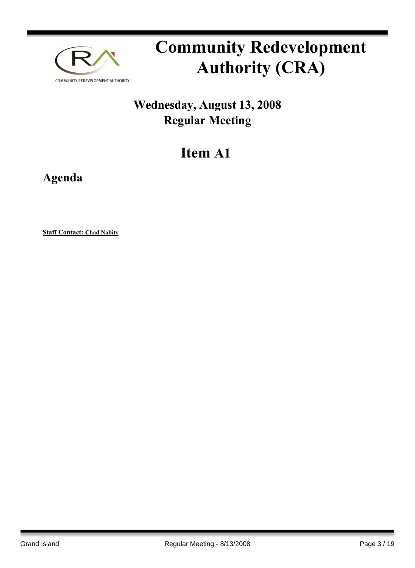

### **Wednesday, August 13, 2008 Regular Meeting**

## **Item A1**

**Agenda**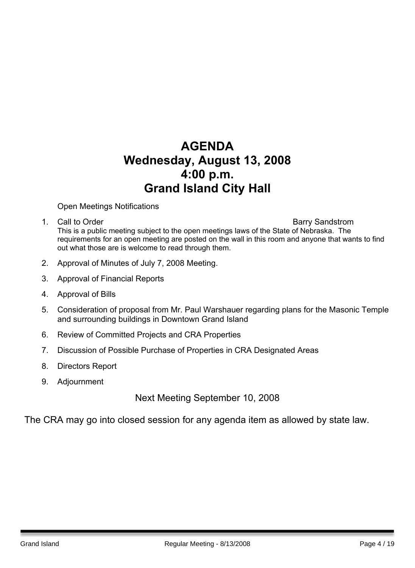### **AGENDA Wednesday, August 13, 2008 4:00 p.m. Grand Island City Hall**

Open Meetings Notifications

1. Call to Order **Barry Sandstrom** 

This is a public meeting subject to the open meetings laws of the State of Nebraska. The requirements for an open meeting are posted on the wall in this room and anyone that wants to find out what those are is welcome to read through them.

- 2. Approval of Minutes of July 7, 2008 Meeting.
- 3. Approval of Financial Reports
- 4. Approval of Bills
- 5. Consideration of proposal from Mr. Paul Warshauer regarding plans for the Masonic Temple and surrounding buildings in Downtown Grand Island
- 6. Review of Committed Projects and CRA Properties
- 7. Discussion of Possible Purchase of Properties in CRA Designated Areas
- 8. Directors Report
- 9. Adjournment

Next Meeting September 10, 2008

The CRA may go into closed session for any agenda item as allowed by state law.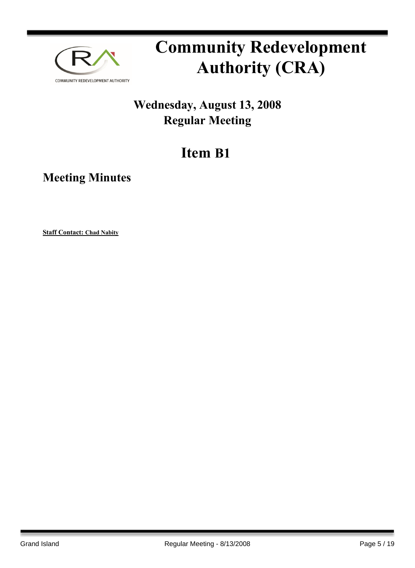

### **Wednesday, August 13, 2008 Regular Meeting**

## **Item B1**

**Meeting Minutes**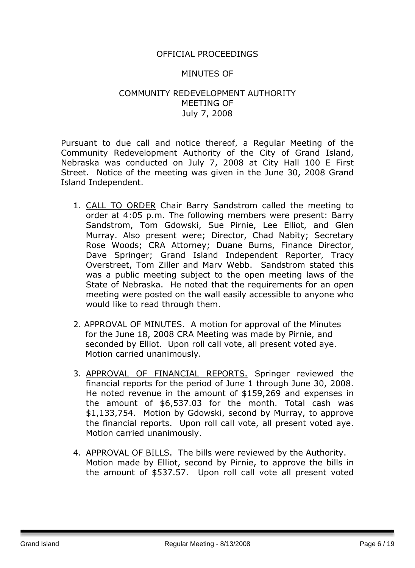#### OFFICIAL PROCEEDINGS

#### MINUTES OF

#### COMMUNITY REDEVELOPMENT AUTHORITY MEETING OF July 7, 2008

Pursuant to due call and notice thereof, a Regular Meeting of the Community Redevelopment Authority of the City of Grand Island, Nebraska was conducted on July 7, 2008 at City Hall 100 E First Street. Notice of the meeting was given in the June 30, 2008 Grand Island Independent.

- 1. CALL TO ORDER Chair Barry Sandstrom called the meeting to order at 4:05 p.m. The following members were present: Barry Sandstrom, Tom Gdowski, Sue Pirnie, Lee Elliot, and Glen Murray. Also present were; Director, Chad Nabity; Secretary Rose Woods; CRA Attorney; Duane Burns, Finance Director, Dave Springer; Grand Island Independent Reporter, Tracy Overstreet, Tom Ziller and Marv Webb. Sandstrom stated this was a public meeting subject to the open meeting laws of the State of Nebraska. He noted that the requirements for an open meeting were posted on the wall easily accessible to anyone who would like to read through them.
- 2. APPROVAL OF MINUTES. A motion for approval of the Minutes for the June 18, 2008 CRA Meeting was made by Pirnie, and seconded by Elliot. Upon roll call vote, all present voted aye. Motion carried unanimously.
- 3. APPROVAL OF FINANCIAL REPORTS. Springer reviewed the financial reports for the period of June 1 through June 30, 2008. He noted revenue in the amount of \$159,269 and expenses in the amount of \$6,537.03 for the month. Total cash was \$1,133,754. Motion by Gdowski, second by Murray, to approve the financial reports. Upon roll call vote, all present voted aye. Motion carried unanimously.
- 4. APPROVAL OF BILLS. The bills were reviewed by the Authority. Motion made by Elliot, second by Pirnie, to approve the bills in the amount of \$537.57. Upon roll call vote all present voted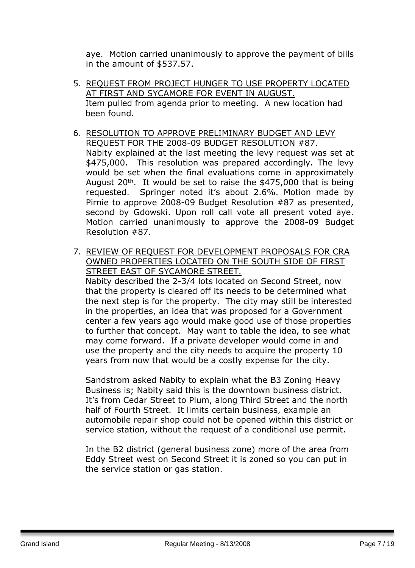aye. Motion carried unanimously to approve the payment of bills in the amount of \$537.57.

- 5. REQUEST FROM PROJECT HUNGER TO USE PROPERTY LOCATED AT FIRST AND SYCAMORE FOR EVENT IN AUGUST. Item pulled from agenda prior to meeting. A new location had been found.
- 6. RESOLUTION TO APPROVE PRELIMINARY BUDGET AND LEVY REQUEST FOR THE 2008-09 BUDGET RESOLUTION #87. Nabity explained at the last meeting the levy request was set at \$475,000. This resolution was prepared accordingly. The levy would be set when the final evaluations come in approximately August  $20<sup>th</sup>$ . It would be set to raise the \$475,000 that is being requested. Springer noted it's about 2.6%. Motion made by Pirnie to approve 2008-09 Budget Resolution #87 as presented, second by Gdowski. Upon roll call vote all present voted aye. Motion carried unanimously to approve the 2008-09 Budget Resolution #87.
- 7. REVIEW OF REQUEST FOR DEVELOPMENT PROPOSALS FOR CRA OWNED PROPERTIES LOCATED ON THE SOUTH SIDE OF FIRST STREET EAST OF SYCAMORE STREET. Nabity described the 2-3/4 lots located on Second Street, now that the property is cleared off its needs to be determined what the next step is for the property. The city may still be interested in the properties, an idea that was proposed for a Government center a few years ago would make good use of those properties to further that concept. May want to table the idea, to see what may come forward. If a private developer would come in and use the property and the city needs to acquire the property 10 years from now that would be a costly expense for the city.

Sandstrom asked Nabity to explain what the B3 Zoning Heavy Business is; Nabity said this is the downtown business district. It's from Cedar Street to Plum, along Third Street and the north half of Fourth Street. It limits certain business, example an automobile repair shop could not be opened within this district or service station, without the request of a conditional use permit.

In the B2 district (general business zone) more of the area from Eddy Street west on Second Street it is zoned so you can put in the service station or gas station.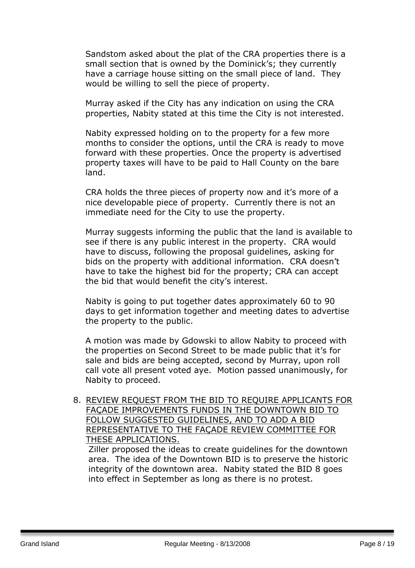Sandstom asked about the plat of the CRA properties there is a small section that is owned by the Dominick's; they currently have a carriage house sitting on the small piece of land. They would be willing to sell the piece of property.

Murray asked if the City has any indication on using the CRA properties, Nabity stated at this time the City is not interested.

Nabity expressed holding on to the property for a few more months to consider the options, until the CRA is ready to move forward with these properties. Once the property is advertised property taxes will have to be paid to Hall County on the bare land.

CRA holds the three pieces of property now and it's more of a nice developable piece of property. Currently there is not an immediate need for the City to use the property.

Murray suggests informing the public that the land is available to see if there is any public interest in the property. CRA would have to discuss, following the proposal guidelines, asking for bids on the property with additional information. CRA doesn't have to take the highest bid for the property; CRA can accept the bid that would benefit the city's interest.

Nabity is going to put together dates approximately 60 to 90 days to get information together and meeting dates to advertise the property to the public.

A motion was made by Gdowski to allow Nabity to proceed with the properties on Second Street to be made public that it's for sale and bids are being accepted, second by Murray, upon roll call vote all present voted aye. Motion passed unanimously, for Nabity to proceed.

8. REVIEW REQUEST FROM THE BID TO REQUIRE APPLICANTS FOR FAÇADE IMPROVEMENTS FUNDS IN THE DOWNTOWN BID TO FOLLOW SUGGESTED GUIDELINES, AND TO ADD A BID REPRESENTATIVE TO THE FAÇADE REVIEW COMMITTEE FOR THESE APPLICATIONS.

Ziller proposed the ideas to create guidelines for the downtown area. The idea of the Downtown BID is to preserve the historic integrity of the downtown area. Nabity stated the BID 8 goes into effect in September as long as there is no protest.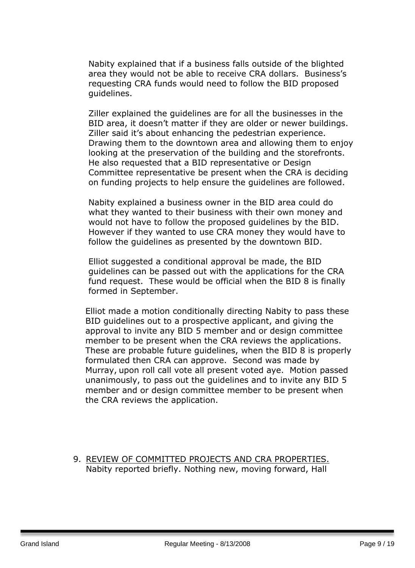Nabity explained that if a business falls outside of the blighted area they would not be able to receive CRA dollars. Business's requesting CRA funds would need to follow the BID proposed guidelines.

Ziller explained the guidelines are for all the businesses in the BID area, it doesn't matter if they are older or newer buildings. Ziller said it's about enhancing the pedestrian experience. Drawing them to the downtown area and allowing them to enjoy looking at the preservation of the building and the storefronts. He also requested that a BID representative or Design Committee representative be present when the CRA is deciding on funding projects to help ensure the guidelines are followed.

Nabity explained a business owner in the BID area could do what they wanted to their business with their own money and would not have to follow the proposed guidelines by the BID. However if they wanted to use CRA money they would have to follow the guidelines as presented by the downtown BID.

Elliot suggested a conditional approval be made, the BID guidelines can be passed out with the applications for the CRA fund request. These would be official when the BID 8 is finally formed in September.

Elliot made a motion conditionally directing Nabity to pass these BID guidelines out to a prospective applicant, and giving the approval to invite any BID 5 member and or design committee member to be present when the CRA reviews the applications. These are probable future guidelines, when the BID 8 is properly formulated then CRA can approve. Second was made by Murray, upon roll call vote all present voted aye. Motion passed unanimously, to pass out the guidelines and to invite any BID 5 member and or design committee member to be present when the CRA reviews the application.

9. REVIEW OF COMMITTED PROJECTS AND CRA PROPERTIES. Nabity reported briefly. Nothing new, moving forward, Hall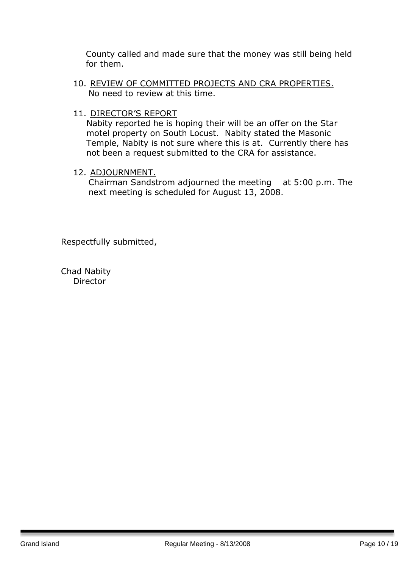County called and made sure that the money was still being held for them.

- 10. REVIEW OF COMMITTED PROJECTS AND CRA PROPERTIES. No need to review at this time.
- 11. DIRECTOR'S REPORT

Nabity reported he is hoping their will be an offer on the Star motel property on South Locust. Nabity stated the Masonic Temple, Nabity is not sure where this is at. Currently there has not been a request submitted to the CRA for assistance.

#### 12. ADJOURNMENT.

Chairman Sandstrom adjourned the meeting at 5:00 p.m. The next meeting is scheduled for August 13, 2008.

Respectfully submitted,

Chad Nabity **Director**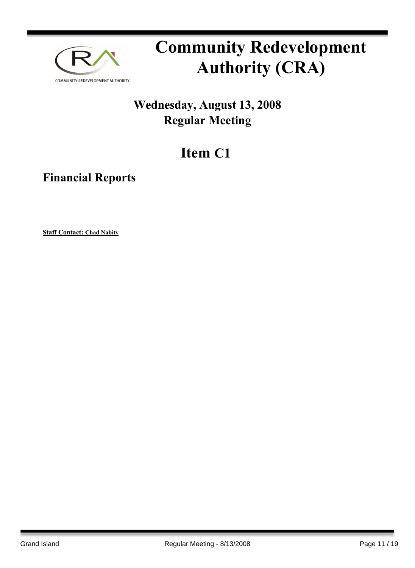

### **Wednesday, August 13, 2008 Regular Meeting**

## **Item C1**

**Financial Reports**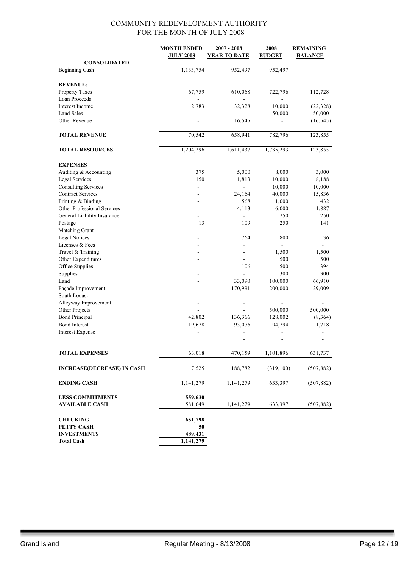|                                   | <b>MONTH ENDED</b>       | $2007 - 2008$            | 2008                     | <b>REMAINING</b>             |
|-----------------------------------|--------------------------|--------------------------|--------------------------|------------------------------|
|                                   | <b>JULY 2008</b>         | <b>YEAR TO DATE</b>      | <b>BUDGET</b>            | <b>BALANCE</b>               |
| <b>CONSOLIDATED</b>               |                          |                          |                          |                              |
| Beginning Cash                    | 1,133,754                | 952,497                  | 952,497                  |                              |
| <b>REVENUE:</b>                   |                          |                          |                          |                              |
| Property Taxes                    | 67,759                   | 610,068                  | 722,796                  | 112,728                      |
| Loan Proceeds                     |                          |                          |                          |                              |
| Interest Income                   | 2,783                    | 32,328                   | 10,000                   | (22, 328)                    |
| <b>Land Sales</b>                 |                          |                          | 50,000                   | 50,000                       |
| Other Revenue                     |                          | 16,545                   |                          | (16, 545)                    |
|                                   |                          |                          |                          |                              |
| <b>TOTAL REVENUE</b>              | 70,542                   | 658,941                  | 782,796                  | 123,855                      |
| <b>TOTAL RESOURCES</b>            | 1,204,296                | 1,611,437                | 1,735,293                | 123,855                      |
| <b>EXPENSES</b>                   |                          |                          |                          |                              |
| Auditing & Accounting             | 375                      | 5,000                    | 8,000                    | 3,000                        |
| <b>Legal Services</b>             | 150                      | 1,813                    | 10,000                   | 8,188                        |
| <b>Consulting Services</b>        | $\overline{\phantom{a}}$ | $\blacksquare$           | 10,000                   | 10,000                       |
| <b>Contract Services</b>          |                          | 24,164                   | 40,000                   | 15,836                       |
| Printing & Binding                |                          | 568                      | 1,000                    | 432                          |
| Other Professional Services       |                          | 4,113                    | 6,000                    | 1,887                        |
| General Liability Insurance       |                          | $\frac{1}{2}$            | 250                      | 250                          |
| Postage                           | 13                       | 109                      | 250                      | 141                          |
| Matching Grant                    |                          |                          | $\overline{a}$           |                              |
| <b>Legal Notices</b>              |                          | 764                      | 800                      | 36                           |
| Licenses & Fees                   |                          |                          |                          |                              |
| Travel & Training                 |                          | $\overline{a}$           | 1,500                    | 1,500                        |
| Other Expenditures                |                          |                          | 500                      | 500                          |
| Office Supplies                   |                          | 106                      | 500                      | 394                          |
| Supplies                          |                          | $\overline{a}$           | 300                      | 300                          |
| Land                              |                          | 33,090                   | 100,000                  | 66,910                       |
| Façade Improvement                |                          | 170,991                  | 200,000                  | 29,009                       |
| South Locust                      |                          | $\overline{\phantom{m}}$ | $\overline{\phantom{a}}$ | $\qquad \qquad \blacksquare$ |
| Alleyway Improvement              |                          | $\overline{a}$           | $\blacksquare$           |                              |
| Other Projects                    |                          |                          | 500,000                  | 500,000                      |
| <b>Bond Principal</b>             | 42,802                   | 136,366                  | 128,002                  | (8,364)                      |
| <b>Bond Interest</b>              | 19,678                   | 93,076                   | 94,794                   | 1,718                        |
| <b>Interest Expense</b>           |                          |                          | $\overline{a}$           |                              |
|                                   |                          |                          |                          |                              |
| <b>TOTAL EXPENSES</b>             | 63,018                   | 470,159                  | 1,101,896                | 631,737                      |
| <b>INCREASE(DECREASE) IN CASH</b> | 7,525                    | 188,782                  | (319,100)                | (507, 882)                   |
| <b>ENDING CASH</b>                | 1,141,279                | 1,141,279                | 633,397                  | (507, 882)                   |
| <b>LESS COMMITMENTS</b>           | 559,630                  |                          |                          |                              |
| <b>AVAILABLE CASH</b>             | 581,649                  | 1,141,279                | 633,397                  | (507, 882)                   |
| <b>CHECKING</b>                   | 651,798                  |                          |                          |                              |
| PETTY CASH                        | 50                       |                          |                          |                              |
| <b>INVESTMENTS</b>                | 489,431                  |                          |                          |                              |
| <b>Total Cash</b>                 | 1,141,279                |                          |                          |                              |
|                                   |                          |                          |                          |                              |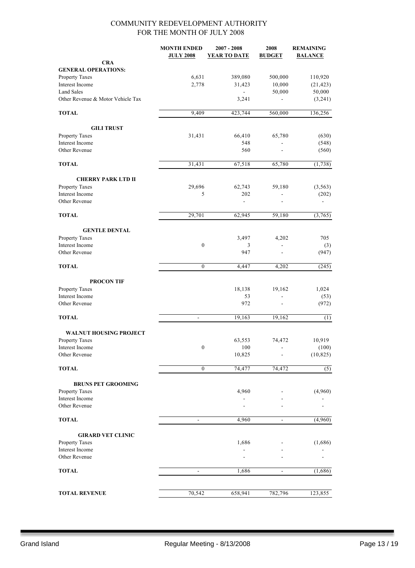|                                   | <b>MONTH ENDED</b><br><b>JULY 2008</b> | $2007 - 2008$<br><b>YEAR TO DATE</b> | 2008<br><b>BUDGET</b>        | <b>REMAINING</b><br><b>BALANCE</b> |
|-----------------------------------|----------------------------------------|--------------------------------------|------------------------------|------------------------------------|
| <b>CRA</b>                        |                                        |                                      |                              |                                    |
| <b>GENERAL OPERATIONS:</b>        |                                        |                                      |                              |                                    |
| Property Taxes                    | 6,631                                  | 389,080                              | 500,000                      | 110,920                            |
| Interest Income                   | 2,778                                  | 31,423                               | 10,000                       | (21, 423)                          |
| <b>Land Sales</b>                 |                                        |                                      | 50,000                       | 50,000                             |
| Other Revenue & Motor Vehicle Tax |                                        | 3,241                                |                              | (3,241)                            |
| <b>TOTAL</b>                      | 9,409                                  | 423,744                              | 560,000                      | 136,256                            |
| <b>GILI TRUST</b>                 |                                        |                                      |                              |                                    |
| Property Taxes                    | 31,431                                 | 66,410                               | 65,780                       | (630)                              |
| Interest Income                   |                                        | 548                                  |                              | (548)                              |
| Other Revenue                     |                                        | 560                                  |                              | (560)                              |
| <b>TOTAL</b>                      | 31,431                                 | 67,518                               | 65,780                       | (1,738)                            |
| <b>CHERRY PARK LTD II</b>         |                                        |                                      |                              |                                    |
| Property Taxes                    | 29,696                                 | 62,743                               | 59,180                       | (3, 563)                           |
| Interest Income                   | 5                                      | 202                                  | $\overline{a}$               | (202)                              |
| Other Revenue                     |                                        | $\blacksquare$                       |                              |                                    |
| <b>TOTAL</b>                      | 29,701                                 | 62,945                               | 59,180                       | (3,765)                            |
| <b>GENTLE DENTAL</b>              |                                        |                                      |                              |                                    |
| <b>Property Taxes</b>             |                                        | 3,497                                | 4,202                        | 705                                |
| Interest Income                   | $\boldsymbol{0}$                       | 3                                    |                              | (3)                                |
| Other Revenue                     |                                        | 947                                  |                              | (947)                              |
| <b>TOTAL</b>                      | $\boldsymbol{0}$                       | 4,447                                | 4,202                        | (245)                              |
| <b>PROCON TIF</b>                 |                                        |                                      |                              |                                    |
| Property Taxes                    |                                        | 18,138                               | 19,162                       | 1,024                              |
| Interest Income                   |                                        | 53                                   | ä,                           | (53)                               |
| Other Revenue                     |                                        | 972                                  | $\qquad \qquad \blacksquare$ | (972)                              |
| <b>TOTAL</b>                      | ÷,                                     | 19,163                               | 19,162                       | (1)                                |
| <b>WALNUT HOUSING PROJECT</b>     |                                        |                                      |                              |                                    |
| Property Taxes                    |                                        | 63,553                               | 74,472                       | 10,919                             |
| Interest Income                   | $\boldsymbol{0}$                       | 100                                  |                              | (100)                              |
| Other Revenue                     |                                        | 10,825                               |                              | (10, 825)                          |
| <b>TOTAL</b>                      | $\bf{0}$                               | 74,477                               | 74,472                       | (5)                                |
| <b>BRUNS PET GROOMING</b>         |                                        |                                      |                              |                                    |
| Property Taxes                    |                                        | 4,960                                |                              | (4,960)                            |
| Interest Income                   |                                        |                                      |                              |                                    |
| Other Revenue                     |                                        |                                      |                              |                                    |
| <b>TOTAL</b>                      | $\overline{\phantom{a}}$               | 4,960                                | $\qquad \qquad \blacksquare$ | (4,960)                            |
| <b>GIRARD VET CLINIC</b>          |                                        |                                      |                              |                                    |
| Property Taxes                    |                                        | 1,686                                |                              | (1,686)                            |
| Interest Income                   |                                        |                                      |                              |                                    |
| Other Revenue                     |                                        |                                      |                              |                                    |
| <b>TOTAL</b>                      | $\blacksquare$                         | 1,686                                | $\overline{\phantom{0}}$     | (1,686)                            |
|                                   |                                        |                                      |                              |                                    |
| <b>TOTAL REVENUE</b>              | 70,542                                 | 658,941                              | 782,796                      | 123,855                            |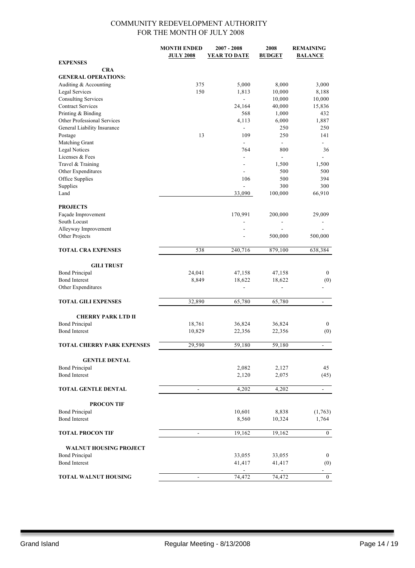|                                   | <b>MONTH ENDED</b>       | $2007 - 2008$            | 2008           | <b>REMAINING</b>         |
|-----------------------------------|--------------------------|--------------------------|----------------|--------------------------|
|                                   | <b>JULY 2008</b>         | <b>YEAR TO DATE</b>      | <b>BUDGET</b>  | <b>BALANCE</b>           |
| <b>EXPENSES</b>                   |                          |                          |                |                          |
| <b>CRA</b>                        |                          |                          |                |                          |
| <b>GENERAL OPERATIONS:</b>        |                          |                          |                |                          |
| Auditing & Accounting             | 375                      | 5,000                    | 8,000          | 3,000                    |
| Legal Services                    | 150                      | 1,813                    | 10,000         | 8,188                    |
| <b>Consulting Services</b>        |                          |                          | 10,000         | 10,000                   |
| <b>Contract Services</b>          |                          | 24,164                   | 40,000         | 15,836                   |
| Printing & Binding                |                          | 568                      | 1,000          | 432                      |
| Other Professional Services       |                          | 4,113                    | 6,000          | 1,887                    |
| General Liability Insurance       |                          | $\blacksquare$           | 250            | 250                      |
| Postage                           | 13                       | 109                      | 250            | 141                      |
| Matching Grant                    |                          | $\blacksquare$           | $\blacksquare$ | ÷                        |
| <b>Legal Notices</b>              |                          | 764                      | 800            | 36                       |
| Licenses & Fees                   |                          | $\overline{\phantom{a}}$ | $\frac{1}{2}$  |                          |
| Travel & Training                 |                          | $\overline{a}$           | 1,500          | 1,500                    |
| Other Expenditures                |                          |                          | 500            | 500                      |
| Office Supplies                   |                          | 106                      | 500            | 394                      |
| Supplies                          |                          | $\overline{\phantom{a}}$ | 300            | 300                      |
| Land                              |                          | 33,090                   | 100,000        | 66,910                   |
|                                   |                          |                          |                |                          |
| <b>PROJECTS</b>                   |                          |                          |                |                          |
|                                   |                          |                          |                |                          |
| Façade Improvement                |                          | 170,991                  | 200,000        | 29,009                   |
| South Locust                      |                          | $\blacksquare$           | -              |                          |
| Alleyway Improvement              |                          |                          |                |                          |
| Other Projects                    |                          |                          | 500,000        | 500,000                  |
|                                   |                          |                          |                |                          |
| <b>TOTAL CRA EXPENSES</b>         | 538                      | 240,716                  | 879,100        | 638,384                  |
|                                   |                          |                          |                |                          |
| <b>GILI TRUST</b>                 |                          |                          |                |                          |
| <b>Bond Principal</b>             | 24,041                   | 47,158                   | 47,158         | $\bf{0}$                 |
| <b>Bond Interest</b>              | 8,849                    | 18,622                   | 18,622         | (0)                      |
| Other Expenditures                |                          | $\overline{\phantom{a}}$ | L              |                          |
|                                   |                          |                          |                |                          |
| <b>TOTAL GILI EXPENSES</b>        | 32,890                   | 65,780                   | 65,780         | $\overline{\phantom{a}}$ |
|                                   |                          |                          |                |                          |
| <b>CHERRY PARK LTD II</b>         |                          |                          |                |                          |
| <b>Bond Principal</b>             | 18,761                   | 36,824                   | 36,824         | $\bf{0}$                 |
| <b>Bond Interest</b>              | 10,829                   | 22,356                   | 22,356         | (0)                      |
|                                   |                          |                          |                |                          |
| <b>TOTAL CHERRY PARK EXPENSES</b> | 29,590                   | 59,180                   | 59,180         |                          |
|                                   |                          |                          |                |                          |
| <b>GENTLE DENTAL</b>              |                          |                          |                |                          |
| <b>Bond Principal</b>             |                          | 2,082                    | 2,127          | 45                       |
| <b>Bond Interest</b>              |                          | 2,120                    | 2,075          | (45)                     |
|                                   |                          |                          |                |                          |
| <b>TOTAL GENTLE DENTAL</b>        |                          | 4,202                    | 4,202          | $\overline{a}$           |
|                                   |                          |                          |                |                          |
| <b>PROCON TIF</b>                 |                          |                          |                |                          |
| <b>Bond Principal</b>             |                          | 10,601                   | 8,838          | (1, 763)                 |
| <b>Bond Interest</b>              |                          | 8,560                    | 10,324         | 1,764                    |
|                                   |                          |                          |                |                          |
| <b>TOTAL PROCON TIF</b>           | $\overline{\phantom{a}}$ | 19,162                   | 19,162         | $\bf{0}$                 |
|                                   |                          |                          |                |                          |
| WALNUT HOUSING PROJECT            |                          |                          |                |                          |
| <b>Bond Principal</b>             |                          | 33,055                   | 33,055         | $\bf{0}$                 |
| <b>Bond Interest</b>              |                          | 41,417                   | 41,417         | (0)                      |
|                                   |                          |                          |                |                          |
| <b>TOTAL WALNUT HOUSING</b>       | $\overline{\phantom{0}}$ | 74,472                   | 74,472         | $\bf{0}$                 |
|                                   |                          |                          |                |                          |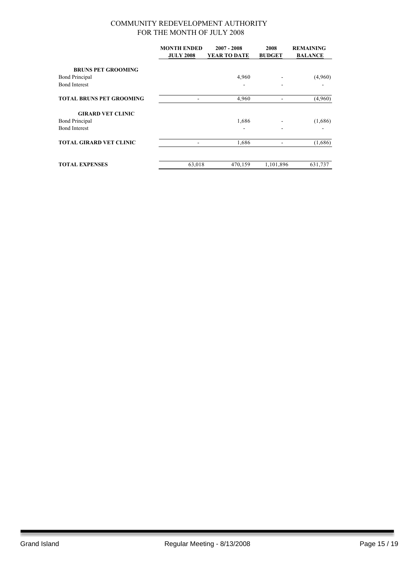|                                 | <b>MONTH ENDED</b><br><b>JULY 2008</b> | $2007 - 2008$<br>YEAR TO DATE | 2008<br><b>BUDGET</b> | <b>REMAINING</b><br><b>BALANCE</b> |
|---------------------------------|----------------------------------------|-------------------------------|-----------------------|------------------------------------|
| <b>BRUNS PET GROOMING</b>       |                                        |                               |                       |                                    |
| <b>Bond Principal</b>           |                                        | 4,960                         |                       | (4,960)                            |
| <b>Bond Interest</b>            |                                        |                               |                       |                                    |
| <b>TOTAL BRUNS PET GROOMING</b> |                                        | 4,960                         |                       | (4,960)                            |
| <b>GIRARD VET CLINIC</b>        |                                        |                               |                       |                                    |
| <b>Bond Principal</b>           |                                        | 1,686                         |                       | (1,686)                            |
| <b>Bond Interest</b>            |                                        | $\blacksquare$                |                       |                                    |
| <b>TOTAL GIRARD VET CLINIC</b>  |                                        | 1,686                         |                       | (1,686)                            |
| <b>TOTAL EXPENSES</b>           | 63,018                                 | 470,159                       | 1,101,896             | 631,737                            |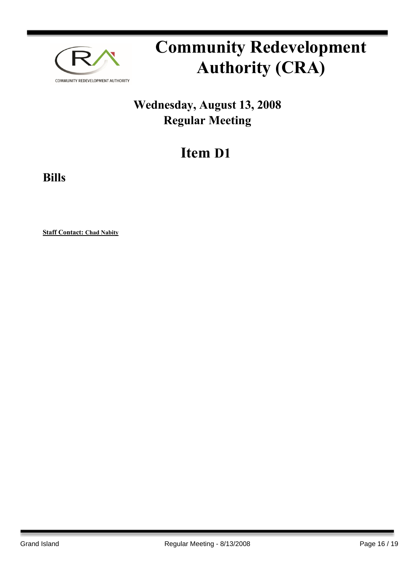

### **Wednesday, August 13, 2008 Regular Meeting**

## **Item D1**

**Bills**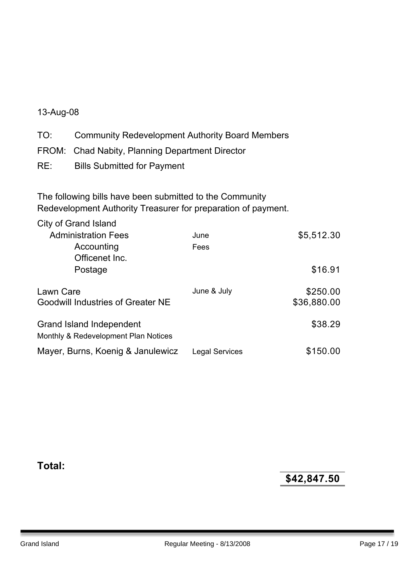#### 13-Aug-08

TO: Community Redevelopment Authority Board Members FROM: Chad Nabity, Planning Department Director RE: Bills Submitted for Payment

The following bills have been submitted to the Community Redevelopment Authority Treasurer for preparation of payment.

| City of Grand Island                                             |                       |             |
|------------------------------------------------------------------|-----------------------|-------------|
| <b>Administration Fees</b>                                       | June                  | \$5,512.30  |
| Accounting                                                       | Fees                  |             |
| Officenet Inc.                                                   |                       |             |
| Postage                                                          |                       | \$16.91     |
| Lawn Care                                                        | June & July           | \$250.00    |
| <b>Goodwill Industries of Greater NE</b>                         |                       | \$36,880.00 |
| Grand Island Independent<br>Monthly & Redevelopment Plan Notices |                       | \$38.29     |
| Mayer, Burns, Koenig & Janulewicz                                | <b>Legal Services</b> | \$150.00    |

**Total:**

**\$42,847.50**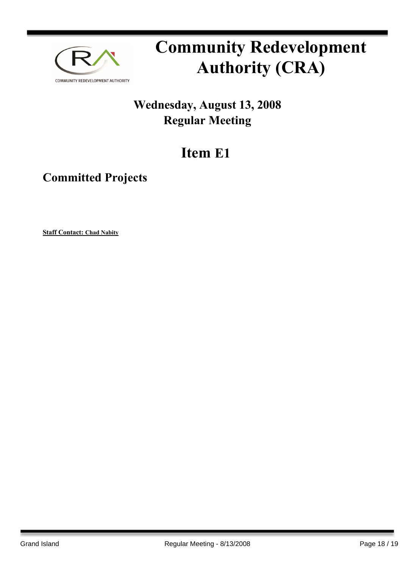

### **Wednesday, August 13, 2008 Regular Meeting**

## **Item E1**

### **Committed Projects**